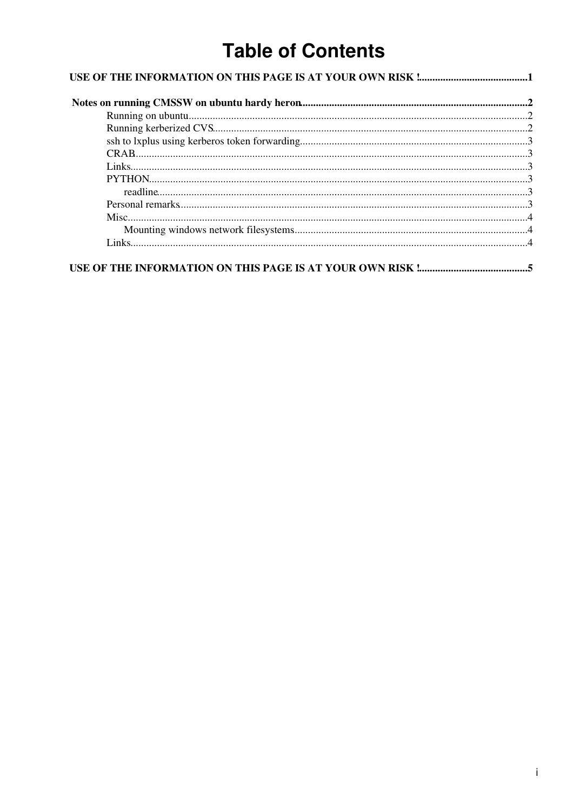# **Table of Contents**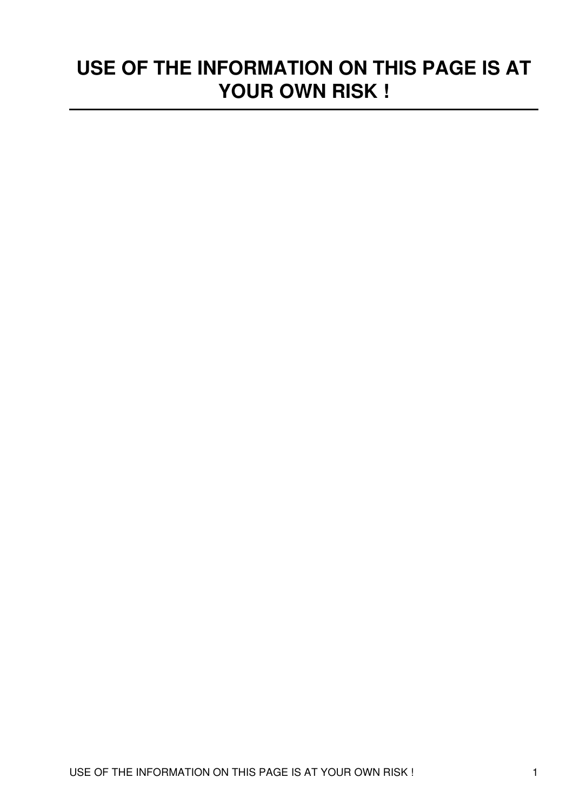# <span id="page-1-0"></span>**USE OF THE INFORMATION ON THIS PAGE IS AT YOUR OWN RISK !**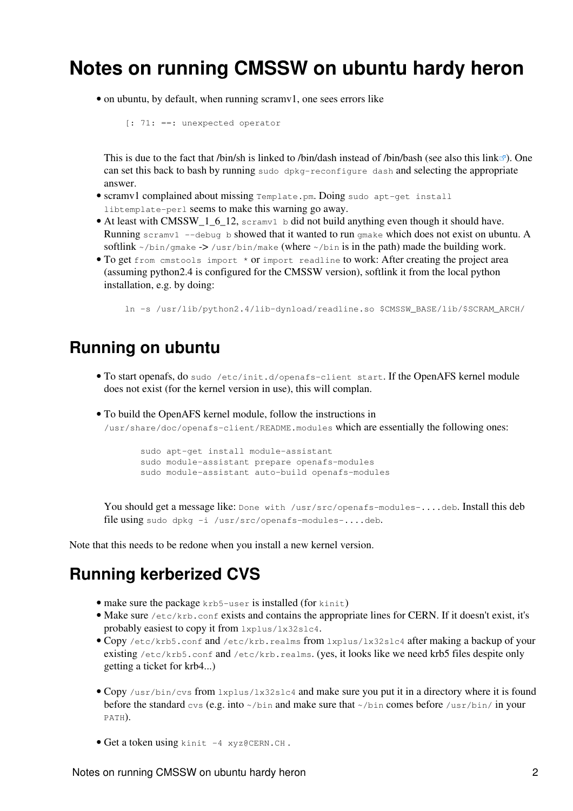## <span id="page-2-0"></span>**Notes on running CMSSW on ubuntu hardy heron**

• on ubuntu, by default, when running scramv1, one sees errors like

[: 71: ==: unexpected operator

This is due to the fact that /bin/sh is linked to /bin/dash instead of /bin/bash (see also [this link](https://wiki.ubuntu.com/DashAsBinSh)  $\mathbb{F}$ ). One can set this back to bash by running sudo dpkg-reconfigure dash and selecting the appropriate answer.

- scramv1 complained about missing Template.pm. Doing sudo apt-get install libtemplate-perl seems to make this warning go away.
- At least with CMSSW\_1\_6\_12, scramv1 b did not build anything even though it should have. Running scramv1  $-$ -debug b showed that it wanted to run gmake which does not exist on ubuntu. A softlink  $\sim$ /bin/gmake -> /usr/bin/make (where  $\sim$ /bin is in the path) made the building work.
- . To get from cmstools import \* or import readline to work: After creating the project area (assuming python2.4 is configured for the CMSSW version), softlink it from the local python installation, e.g. by doing:

ln -s /usr/lib/python2.4/lib-dynload/readline.so \$CMSSW\_BASE/lib/\$SCRAM\_ARCH/

#### <span id="page-2-1"></span>**Running on ubuntu**

- . To start openafs, do sudo /etc/init.d/openafs-client start. If the OpenAFS kernel module does not exist (for the kernel version in use), this will complan.
- To build the OpenAFS kernel module, follow the instructions in •

/usr/share/doc/openafs-client/README.modules which are essentially the following ones:

```
 sudo apt-get install module-assistant
sudo module-assistant prepare openafs-modules
sudo module-assistant auto-build openafs-modules
```
You should get a message like: Done with /usr/src/openafs-modules-....deb. Install this deb file using sudo dpkg -i /usr/src/openafs-modules-....deb.

Note that this needs to be redone when you install a new kernel version.

#### <span id="page-2-2"></span>**Running kerberized CVS**

- make sure the package krb5-user is installed (for kinit)
- Make sure /etc/krb.conf exists and contains the appropriate lines for CERN. If it doesn't exist, it's probably easiest to copy it from lxplus/lx32slc4.
- Copy /etc/krb5.conf and /etc/krb.realms from lxplus/lx32slc4 after making a backup of your existing /etc/krb5.conf and /etc/krb.realms. (yes, it looks like we need krb5 files despite only getting a ticket for krb4...)
- Copy /usr/bin/cvs from lxplus/lx32slc4 and make sure you put it in a directory where it is found before the standard  $\cos(\theta, g)$ , into  $\sim/\sin$  and make sure that  $\sim/\sin$  comes before  $/\sin/\sin/\sin$  your PATH).
- Get a token using kinit -4 [xyz@CERN.](mailto:xyz@CERN)CH.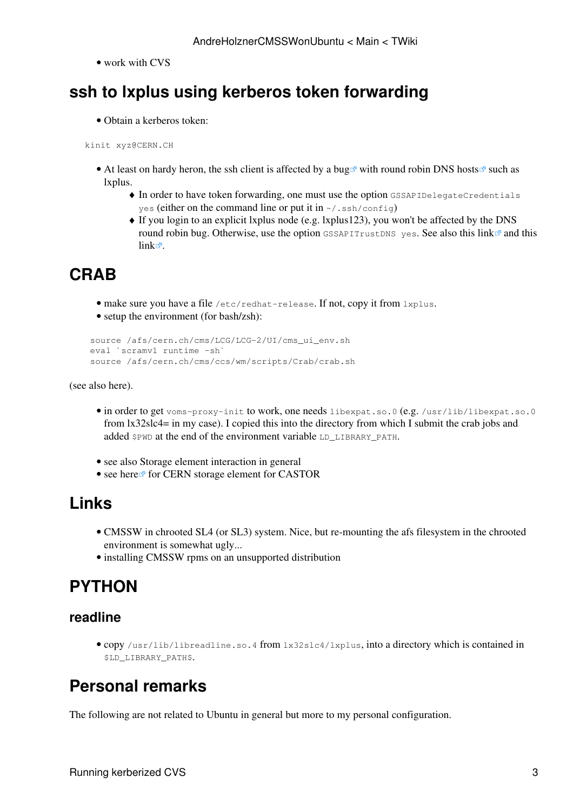• work with CVS

## <span id="page-3-0"></span>**ssh to lxplus using kerberos token forwarding**

• Obtain a kerberos token:

kinit xyz@CERN.CH

- At least on hardy heron, the ssh client is affected by a [bug](https://bugzilla.mindrot.org/show_bug.cgi?id=1008)  $\mathbb{F}$  with [round robin DNS hosts](http://en.wikipedia.org/wiki/Round_robin_DNS)  $\mathbb{F}$  such as lxplus.
	- $\blacklozenge$  In order to have token forwarding, one must use the option GSSAPIDelegateCredentials yes (either on the command line or put it in  $\sim/$ , ssh/config)
	- If you login to an explicit lxplus node (e.g. lxplus123), you won't be affected by the DNS ♦ round robin bug. Otherwise, use the option  $\sigma$ SSAPITrustDNS yes. See also [this link](http://linux.web.cern.ch/linux/docs/kerberos-access.shtml) and [this](http://aholzner.wordpress.com/?p=72)  $link$  $\Phi$ .

## <span id="page-3-1"></span>**[CRAB](https://twiki.cern.ch/twiki/bin/view/Main/CRAB)**

- make sure you have a file /etc/redhat-release. If not, copy it from lxplus.
- setup the environment (for bash/zsh):

```
 source /afs/cern.ch/cms/LCG/LCG-2/UI/cms_ui_env.sh
eval `scramv1 runtime -sh`
source /afs/cern.ch/cms/ccs/wm/scripts/Crab/crab.sh
```
(see also [here\)](https://twiki.cern.ch/twiki/bin/view/CMS/SWGuideCrabHowTo#Use_CRAB_installed_at_CERN).

- in order to get voms-proxy-init to work, one needs libexpat.so.0 (e.g. /usr/lib/libexpat.so.0 from lx32slc4= in my case). I copied this into the directory from which I submit the crab jobs and added \$PWD at the end of the environment variable LD\_LIBRARY\_PATH.
- see also [Storage element interaction in general](https://twiki.cern.ch/twiki/bin/view/Main/CRABStorageElementInteraction)
- see [here](http://home.fnal.gov/~gutsche/computing/crab/crab.html)<sup>*r*</sup> for CERN storage element for CASTOR

### <span id="page-3-2"></span>**Links**

- [CMSSW in chrooted SL4 \(or SL3\) system](https://twiki.cern.ch/twiki/bin/view/CMS/CMSSWinChrootEnv). Nice, but re-mounting the afs filesystem in the chrooted environment is somewhat ugly...
- [installing CMSSW rpms on an unsupported distribution](https://twiki.cern.ch/twiki/bin/view/CMS/CMSSW_bootstrap#Q_I_m_running_on_some_exotic_uns)

## <span id="page-3-3"></span>**PYTHON**

#### <span id="page-3-4"></span>**readline**

copy /usr/lib/libreadline.so.4 from lx32slc4/lxplus, into a directory which is contained in • \$LD\_LIBRARY\_PATH\$.

## <span id="page-3-5"></span>**Personal remarks**

The following are not related to Ubuntu in general but more to my personal configuration.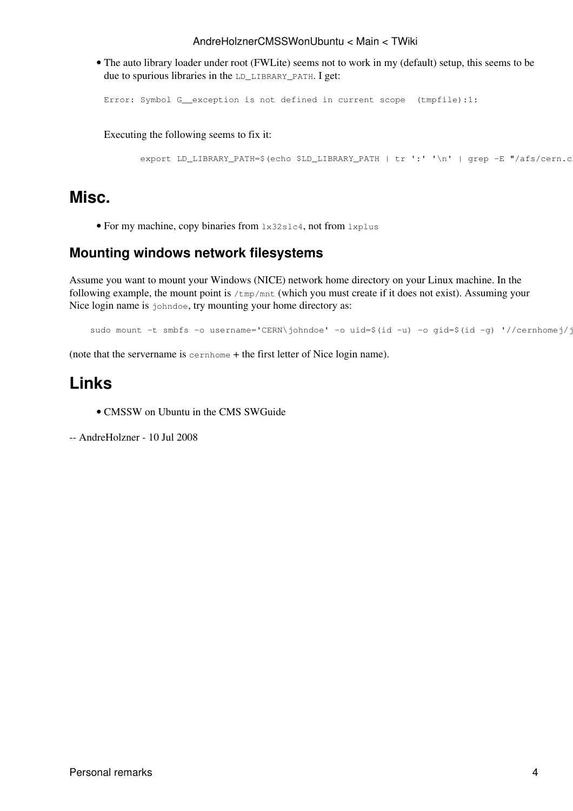#### AndreHolznerCMSSWonUbuntu < Main < TWiki

The auto library loader under root (FWLite) seems not to work in my (default) setup, this seems to be • due to spurious libraries in the LD\_LIBRARY\_PATH. I get:

```
Error: Symbol G__exception is not defined in current scope (tmpfile):1:
```
Executing the following seems to fix it:

```
export LD_LIBRARY_PATH=$(echo $LD_LIBRARY_PATH | tr ':' '\n' | grep -E "/afs/cern.c
```
#### <span id="page-4-0"></span>**Misc.**

• For my machine, copy binaries from lx32slc4, not from lxplus

#### <span id="page-4-1"></span>**Mounting windows network filesystems**

Assume you want to mount your Windows (NICE) network home directory on your Linux machine. In the following example, the mount point is /tmp/mnt (which you must create if it does not exist). Assuming your Nice login name is johndoe, try mounting your home directory as:

```
sudo mount -t smbfs -o username='CERN\johndoe' -o uid=$(id -u) -o gid=$(id -g) '//cernhomej/j
```
(note that the servername is cernhome + the first letter of Nice login name).

#### <span id="page-4-2"></span>**Links**

• [CMSSW on Ubuntu](https://twiki.cern.ch/twiki/bin/view/CMS/SWGuideCMSSWOnUbuntu) in the CMS SWGuide

-- [AndreHolzner](https://twiki.cern.ch/twiki/bin/view/Main/AndreHolzner) - 10 Jul 2008